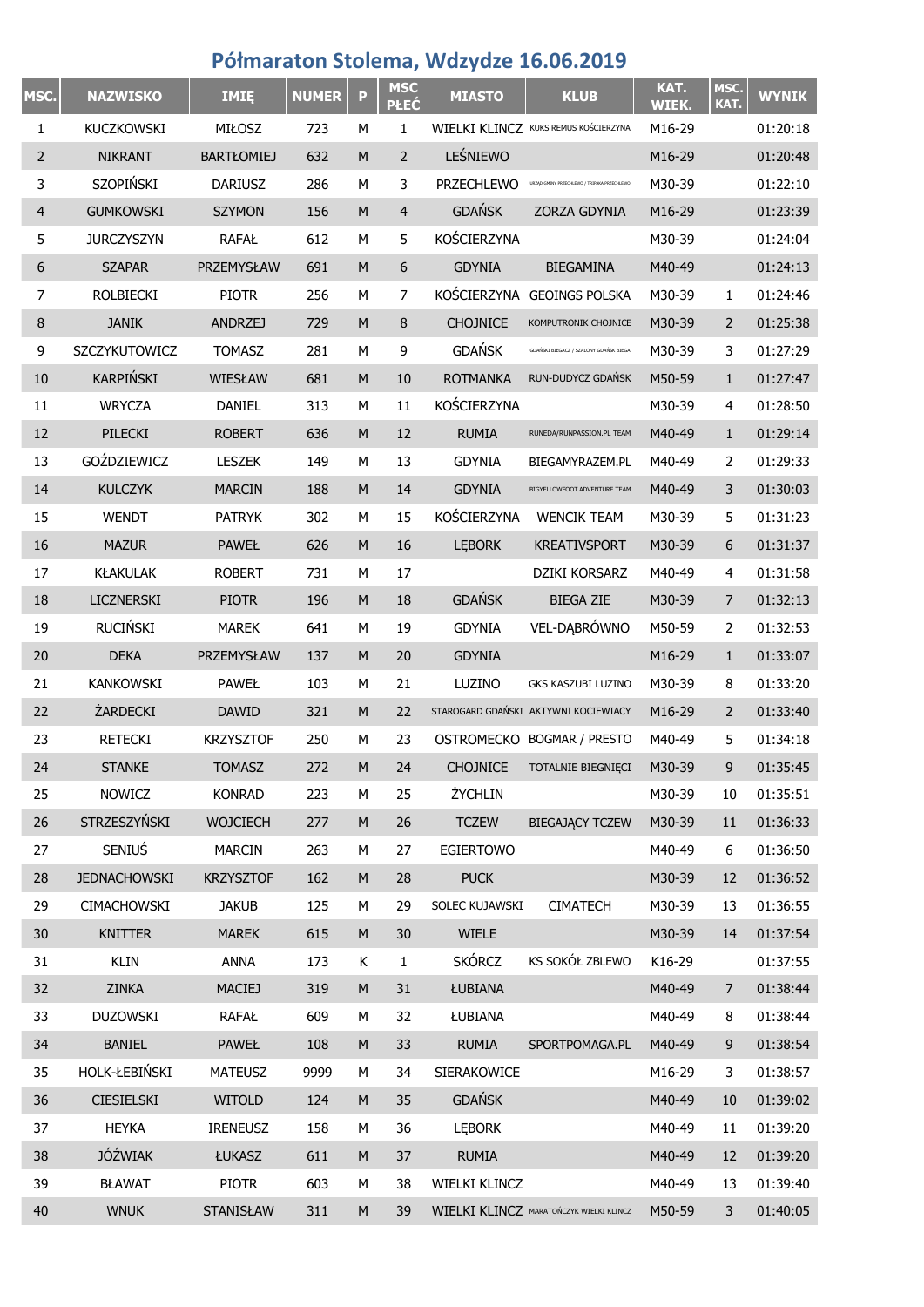## **Półmaraton Stolema, Wdzydze 16.06.2019**

| MSC.           | <b>NAZWISKO</b>     | IMIĘ              | <b>NUMER</b> | P         | <b>MSC</b><br><b>PŁEĆ</b> | <b>MIASTO</b>     | <b>KLUB</b>                                 | KAT.<br><b>WIEK.</b> | MSC.<br>KAT.   | <b>WYNIK</b> |
|----------------|---------------------|-------------------|--------------|-----------|---------------------------|-------------------|---------------------------------------------|----------------------|----------------|--------------|
| 1              | KUCZKOWSKI          | MIŁOSZ            | 723          | М         | 1                         |                   | WIELKI KLINCZ KUKS REMUS KOŚCIERZYNA        | M16-29               |                | 01:20:18     |
| $\overline{2}$ | <b>NIKRANT</b>      | <b>BARTŁOMIEJ</b> | 632          | ${\sf M}$ | $\overline{2}$            | LEŚNIEWO          |                                             | M16-29               |                | 01:20:48     |
| 3              | <b>SZOPIŃSKI</b>    | <b>DARIUSZ</b>    | 286          | М         | 3                         | <b>PRZECHLEWO</b> | URZĄD GMINY PRZECHLEWO / TRIPAKA PRZECHLEWO | M30-39               |                | 01:22:10     |
| $\overline{4}$ | <b>GUMKOWSKI</b>    | <b>SZYMON</b>     | 156          | ${\sf M}$ | 4                         | <b>GDAŃSK</b>     | ZORZA GDYNIA                                | M16-29               |                | 01:23:39     |
| 5              | <b>JURCZYSZYN</b>   | <b>RAFAŁ</b>      | 612          | М         | 5                         | KOŚCIERZYNA       |                                             | M30-39               |                | 01:24:04     |
| 6              | <b>SZAPAR</b>       | PRZEMYSŁAW        | 691          | M         | 6                         | <b>GDYNIA</b>     | <b>BIEGAMINA</b>                            | M40-49               |                | 01:24:13     |
| 7              | <b>ROLBIECKI</b>    | <b>PIOTR</b>      | 256          | М         | $\overline{7}$            |                   | KOŚCIERZYNA GEOINGS POLSKA                  | M30-39               | 1              | 01:24:46     |
| 8              | <b>JANIK</b>        | <b>ANDRZEJ</b>    | 729          | M         | 8                         | <b>CHOJNICE</b>   | KOMPUTRONIK CHOJNICE                        | M30-39               | 2              | 01:25:38     |
| 9              | SZCZYKUTOWICZ       | <b>TOMASZ</b>     | 281          | М         | 9                         | <b>GDAŃSK</b>     | GDAŃSKI BIEGACZ / SZALONY GDAŃSK BIEGA      | M30-39               | 3              | 01:27:29     |
| 10             | <b>KARPIŃSKI</b>    | WIESŁAW           | 681          | ${\sf M}$ | 10                        | <b>ROTMANKA</b>   | RUN-DUDYCZ GDAŃSK                           | M50-59               | $\mathbf{1}$   | 01:27:47     |
| 11             | <b>WRYCZA</b>       | <b>DANIEL</b>     | 313          | М         | 11                        | KOŚCIERZYNA       |                                             | M30-39               | 4              | 01:28:50     |
| 12             | PILECKI             | <b>ROBERT</b>     | 636          | ${\sf M}$ | 12                        | <b>RUMIA</b>      | RUNEDA/RUNPASSION.PL TEAM                   | M40-49               | $\mathbf{1}$   | 01:29:14     |
| 13             | GOŹDZIEWICZ         | LESZEK            | 149          | М         | 13                        | <b>GDYNIA</b>     | BIEGAMYRAZEM.PL                             | M40-49               | 2              | 01:29:33     |
| 14             | <b>KULCZYK</b>      | <b>MARCIN</b>     | 188          | ${\sf M}$ | 14                        | <b>GDYNIA</b>     | BIGYELLOWFOOT ADVENTURE TEAM                | M40-49               | 3              | 01:30:03     |
| 15             | <b>WENDT</b>        | <b>PATRYK</b>     | 302          | М         | 15                        | KOŚCIERZYNA       | <b>WENCIK TEAM</b>                          | M30-39               | 5              | 01:31:23     |
| 16             | <b>MAZUR</b>        | <b>PAWEŁ</b>      | 626          | ${\sf M}$ | 16                        | <b>LEBORK</b>     | <b>KREATIVSPORT</b>                         | M30-39               | 6              | 01:31:37     |
| 17             | <b>KŁAKULAK</b>     | <b>ROBERT</b>     | 731          | М         | 17                        |                   | DZIKI KORSARZ                               | M40-49               | 4              | 01:31:58     |
| 18             | LICZNERSKI          | <b>PIOTR</b>      | 196          | ${\sf M}$ | 18                        | <b>GDAŃSK</b>     | <b>BIEGA ZIE</b>                            | M30-39               | $\overline{7}$ | 01:32:13     |
| 19             | <b>RUCIŃSKI</b>     | <b>MAREK</b>      | 641          | М         | 19                        | <b>GDYNIA</b>     | VEL-DABRÓWNO                                | M50-59               | 2              | 01:32:53     |
| 20             | <b>DEKA</b>         | PRZEMYSŁAW        | 137          | ${\sf M}$ | 20                        | <b>GDYNIA</b>     |                                             | M16-29               | $\mathbf{1}$   | 01:33:07     |
| 21             | <b>KANKOWSKI</b>    | <b>PAWEŁ</b>      | 103          | М         | 21                        | LUZINO            | GKS KASZUBI LUZINO                          | M30-39               | 8              | 01:33:20     |
| 22             | ŻARDECKI            | <b>DAWID</b>      | 321          | ${\sf M}$ | 22                        |                   | STAROGARD GDAŃSKI AKTYWNI KOCIEWIACY        | M16-29               | 2              | 01:33:40     |
| 23             | <b>RETECKI</b>      | <b>KRZYSZTOF</b>  | 250          | м         | 23                        |                   | OSTROMECKO BOGMAR / PRESTO                  | M40-49               | 5              | 01:34:18     |
| 24             | <b>STANKE</b>       | <b>TOMASZ</b>     | 272          | M         | 24                        | <b>CHOJNICE</b>   | TOTALNIE BIEGNIĘCI                          | M30-39               | 9              | 01:35:45     |
| 25             | <b>NOWICZ</b>       | <b>KONRAD</b>     | 223          | М         | 25                        | ŻYCHLIN           |                                             | M30-39               | 10             | 01:35:51     |
| 26             | STRZESZYŃSKI        | <b>WOJCIECH</b>   | 277          | M         | 26                        | <b>TCZEW</b>      | <b>BIEGAJĄCY TCZEW</b>                      | M30-39               | 11             | 01:36:33     |
| 27             | SENIUS              | <b>MARCIN</b>     | 263          | М         | 27                        | <b>EGIERTOWO</b>  |                                             | M40-49               | 6              | 01:36:50     |
| 28             | <b>JEDNACHOWSKI</b> | <b>KRZYSZTOF</b>  | 162          | M         | 28                        | <b>PUCK</b>       |                                             | M30-39               | 12             | 01:36:52     |
| 29             | CIMACHOWSKI         | <b>JAKUB</b>      | 125          | М         | 29                        | SOLEC KUJAWSKI    | <b>CIMATECH</b>                             | M30-39               | 13             | 01:36:55     |
| 30             | <b>KNITTER</b>      | <b>MAREK</b>      | 615          | M         | 30                        | <b>WIELE</b>      |                                             | M30-39               | 14             | 01:37:54     |
| 31             | <b>KLIN</b>         | <b>ANNA</b>       | 173          | Κ         | $\mathbf{1}$              | <b>SKÓRCZ</b>     | KS SOKÓŁ ZBLEWO                             | K16-29               |                | 01:37:55     |
| 32             | <b>ZINKA</b>        | MACIEJ            | 319          | M         | 31                        | ŁUBIANA           |                                             | M40-49               | $\overline{7}$ | 01:38:44     |
| 33             | <b>DUZOWSKI</b>     | <b>RAFAŁ</b>      | 609          | М         | 32                        | ŁUBIANA           |                                             | M40-49               | 8              | 01:38:44     |
| 34             | <b>BANIEL</b>       | <b>PAWEŁ</b>      | 108          | M         | 33                        | <b>RUMIA</b>      | SPORTPOMAGA.PL                              | M40-49               | 9              | 01:38:54     |
| 35             | HOLK-ŁEBIŃSKI       | <b>MATEUSZ</b>    | 9999         | М         | 34                        | SIERAKOWICE       |                                             | M16-29               | 3              | 01:38:57     |
| 36             | <b>CIESIELSKI</b>   | <b>WITOLD</b>     | 124          | M         | 35                        | <b>GDAŃSK</b>     |                                             | M40-49               | 10             | 01:39:02     |
| 37             | <b>HEYKA</b>        | <b>IRENEUSZ</b>   | 158          | М         | 36                        | <b>LEBORK</b>     |                                             | M40-49               | 11             | 01:39:20     |
| 38             | <b>JÓŹWIAK</b>      | ŁUKASZ            | 611          | M         | 37                        | <b>RUMIA</b>      |                                             | M40-49               | 12             | 01:39:20     |
| 39             | <b>BŁAWAT</b>       | <b>PIOTR</b>      | 603          | М         | 38                        | WIELKI KLINCZ     |                                             | M40-49               | 13             | 01:39:40     |
| 40             | <b>WNUK</b>         | <b>STANISŁAW</b>  | 311          | M         | 39                        |                   | WIELKI KLINCZ MARATOŃCZYK WIELKI KLINCZ     | M50-59               | 3              | 01:40:05     |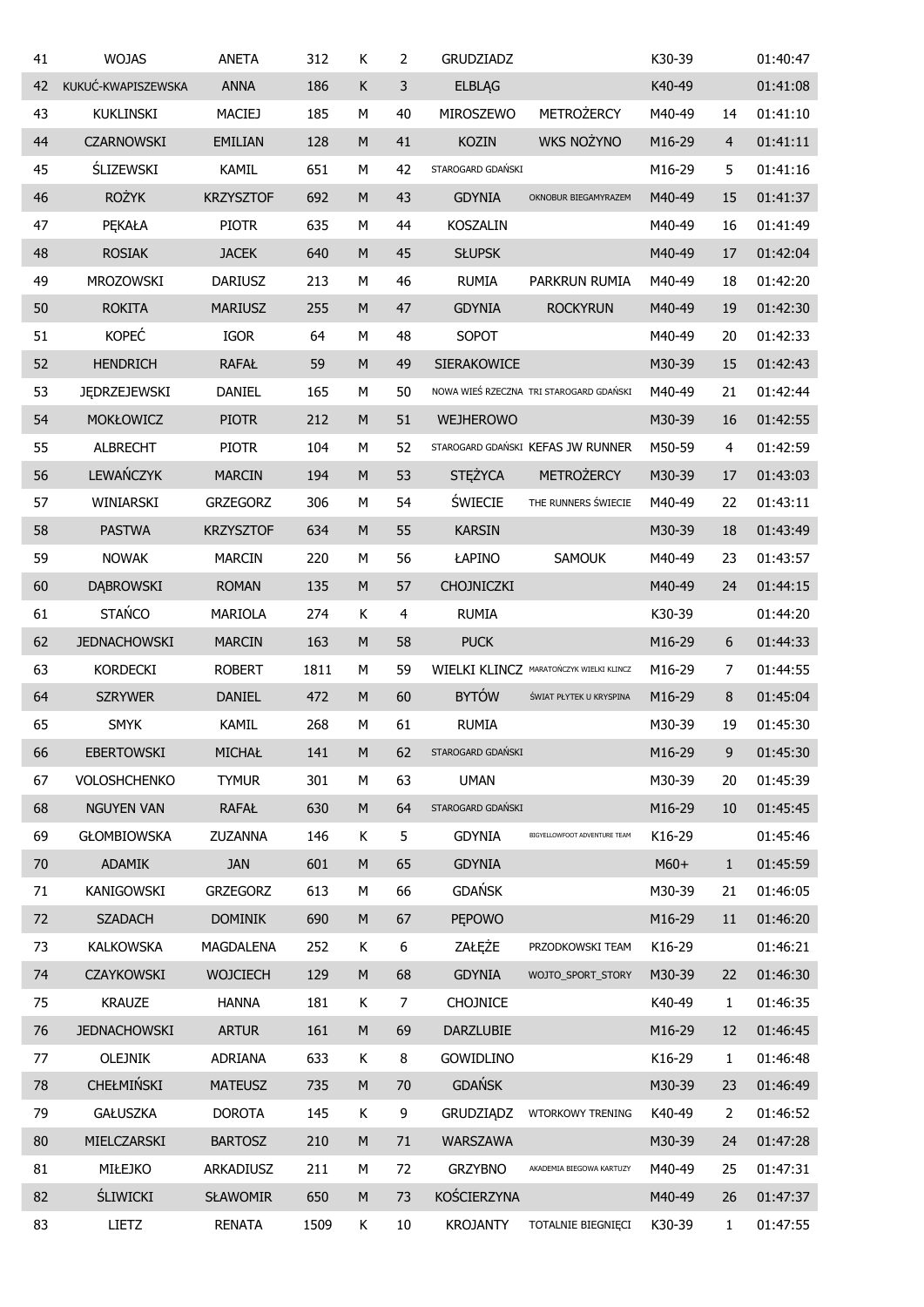| 41 | <b>WOJAS</b>        | <b>ANETA</b>     | 312  | К         | 2  | <b>GRUDZIADZ</b>  |                                         | K30-39 |                | 01:40:47 |
|----|---------------------|------------------|------|-----------|----|-------------------|-----------------------------------------|--------|----------------|----------|
| 42 | KUKUĆ-KWAPISZEWSKA  | <b>ANNA</b>      | 186  | К         | 3  | <b>ELBLAG</b>     |                                         | K40-49 |                | 01:41:08 |
| 43 | <b>KUKLINSKI</b>    | <b>MACIEJ</b>    | 185  | М         | 40 | MIROSZEWO         | <b>METROŻERCY</b>                       | M40-49 | 14             | 01:41:10 |
| 44 | <b>CZARNOWSKI</b>   | <b>EMILIAN</b>   | 128  | M         | 41 | <b>KOZIN</b>      | <b>WKS NOŻYNO</b>                       | M16-29 | $\overline{4}$ | 01:41:11 |
| 45 | <b>ŚLIZEWSKI</b>    | <b>KAMIL</b>     | 651  | М         | 42 | STAROGARD GDAŃSKI |                                         | M16-29 | 5              | 01:41:16 |
| 46 | <b>ROŻYK</b>        | <b>KRZYSZTOF</b> | 692  | M         | 43 | <b>GDYNIA</b>     | OKNOBUR BIEGAMYRAZEM                    | M40-49 | 15             | 01:41:37 |
| 47 | PEKAŁA              | <b>PIOTR</b>     | 635  | М         | 44 | <b>KOSZALIN</b>   |                                         | M40-49 | 16             | 01:41:49 |
| 48 | <b>ROSIAK</b>       | <b>JACEK</b>     | 640  | ${\sf M}$ | 45 | <b>SŁUPSK</b>     |                                         | M40-49 | 17             | 01:42:04 |
| 49 | MROZOWSKI           | <b>DARIUSZ</b>   | 213  | М         | 46 | <b>RUMIA</b>      | PARKRUN RUMIA                           | M40-49 | 18             | 01:42:20 |
| 50 | <b>ROKITA</b>       | <b>MARIUSZ</b>   | 255  | M         | 47 | <b>GDYNIA</b>     | <b>ROCKYRUN</b>                         | M40-49 | 19             | 01:42:30 |
| 51 | <b>KOPEĆ</b>        | <b>IGOR</b>      | 64   | М         | 48 | SOPOT             |                                         | M40-49 | 20             | 01:42:33 |
| 52 | <b>HENDRICH</b>     | <b>RAFAŁ</b>     | 59   | M         | 49 | SIERAKOWICE       |                                         | M30-39 | 15             | 01:42:43 |
| 53 | <b>JEDRZEJEWSKI</b> | DANIEL           | 165  | М         | 50 |                   | NOWA WIEŚ RZECZNA TRI STAROGARD GDAŃSKI | M40-49 | 21             | 01:42:44 |
| 54 | MOKŁOWICZ           | <b>PIOTR</b>     | 212  | M         | 51 | <b>WEJHEROWO</b>  |                                         | M30-39 | 16             | 01:42:55 |
| 55 | <b>ALBRECHT</b>     | <b>PIOTR</b>     | 104  | М         | 52 |                   | STAROGARD GDAŃSKI KEFAS JW RUNNER       | M50-59 | 4              | 01:42:59 |
| 56 | LEWAŃCZYK           | <b>MARCIN</b>    | 194  | M         | 53 | <b>STĘŻYCA</b>    | <b>METROŻERCY</b>                       | M30-39 | 17             | 01:43:03 |
| 57 | WINIARSKI           | <b>GRZEGORZ</b>  | 306  | М         | 54 | <b>ŚWIECIE</b>    | THE RUNNERS SWIECIE                     | M40-49 | 22             | 01:43:11 |
| 58 | <b>PASTWA</b>       | <b>KRZYSZTOF</b> | 634  | M         | 55 | <b>KARSIN</b>     |                                         | M30-39 | 18             | 01:43:49 |
| 59 | <b>NOWAK</b>        | <b>MARCIN</b>    | 220  | М         | 56 | ŁAPINO            | <b>SAMOUK</b>                           | M40-49 | 23             | 01:43:57 |
| 60 | <b>DABROWSKI</b>    | <b>ROMAN</b>     | 135  | M         | 57 | CHOJNICZKI        |                                         | M40-49 | 24             | 01:44:15 |
| 61 | <b>STAŃCO</b>       | <b>MARIOLA</b>   | 274  | Κ         | 4  | <b>RUMIA</b>      |                                         | K30-39 |                | 01:44:20 |
| 62 | <b>JEDNACHOWSKI</b> | <b>MARCIN</b>    | 163  | M         | 58 | <b>PUCK</b>       |                                         | M16-29 | 6              | 01:44:33 |
| 63 | <b>KORDECKI</b>     | <b>ROBERT</b>    | 1811 | М         | 59 |                   | WIELKI KLINCZ MARATOŃCZYK WIELKI KLINCZ | M16-29 | 7              | 01:44:55 |
| 64 | <b>SZRYWER</b>      | <b>DANIEL</b>    | 472  | M         | 60 | <b>BYTÓW</b>      | ŚWIAT PŁYTEK U KRYSPINA                 | M16-29 | 8              | 01:45:04 |
| 65 | <b>SMYK</b>         | <b>KAMIL</b>     | 268  | M         | 61 | <b>RUMIA</b>      |                                         | M30-39 | 19             | 01:45:30 |
| 66 | <b>EBERTOWSKI</b>   | MICHAŁ           | 141  | M         | 62 | STAROGARD GDAŃSKI |                                         | M16-29 | 9              | 01:45:30 |
| 67 | <b>VOLOSHCHENKO</b> | <b>TYMUR</b>     | 301  | М         | 63 | <b>UMAN</b>       |                                         | M30-39 | 20             | 01:45:39 |
| 68 | <b>NGUYEN VAN</b>   | <b>RAFAŁ</b>     | 630  | ${\sf M}$ | 64 | STAROGARD GDAŃSKI |                                         | M16-29 | 10             | 01:45:45 |
| 69 | <b>GŁOMBIOWSKA</b>  | ZUZANNA          | 146  | К         | 5  | <b>GDYNIA</b>     | BIGYELLOWFOOT ADVENTURE TEAM            | K16-29 |                | 01:45:46 |
| 70 | <b>ADAMIK</b>       | <b>JAN</b>       | 601  | ${\sf M}$ | 65 | <b>GDYNIA</b>     |                                         | $M60+$ | $\mathbf{1}$   | 01:45:59 |
| 71 | <b>KANIGOWSKI</b>   | <b>GRZEGORZ</b>  | 613  | М         | 66 | <b>GDAŃSK</b>     |                                         | M30-39 | 21             | 01:46:05 |
| 72 | <b>SZADACH</b>      | <b>DOMINIK</b>   | 690  | ${\sf M}$ | 67 | PĘPOWO            |                                         | M16-29 | 11             | 01:46:20 |
| 73 | <b>KALKOWSKA</b>    | MAGDALENA        | 252  | Κ         | 6  | ZAŁĘŻE            | PRZODKOWSKI TEAM                        | K16-29 |                | 01:46:21 |
| 74 | <b>CZAYKOWSKI</b>   | <b>WOJCIECH</b>  | 129  | ${\sf M}$ | 68 | <b>GDYNIA</b>     | WOJTO_SPORT_STORY                       | M30-39 | 22             | 01:46:30 |
| 75 | <b>KRAUZE</b>       | <b>HANNA</b>     | 181  | Κ         | 7  | <b>CHOJNICE</b>   |                                         | K40-49 | 1              | 01:46:35 |
| 76 | <b>JEDNACHOWSKI</b> | <b>ARTUR</b>     | 161  | ${\sf M}$ | 69 | DARZLUBIE         |                                         | M16-29 | 12             | 01:46:45 |
| 77 | <b>OLEJNIK</b>      | ADRIANA          | 633  | Κ         | 8  | <b>GOWIDLINO</b>  |                                         | K16-29 | $\mathbf{1}$   | 01:46:48 |
| 78 | <b>CHEŁMIŃSKI</b>   | <b>MATEUSZ</b>   | 735  | M         | 70 | <b>GDAŃSK</b>     |                                         | M30-39 | 23             | 01:46:49 |
| 79 | <b>GAŁUSZKA</b>     | <b>DOROTA</b>    | 145  | К         | 9  | <b>GRUDZIĄDZ</b>  | WTORKOWY TRENING                        | K40-49 | 2              | 01:46:52 |
| 80 | MIELCZARSKI         | <b>BARTOSZ</b>   | 210  | ${\sf M}$ | 71 | <b>WARSZAWA</b>   |                                         | M30-39 | 24             | 01:47:28 |
| 81 | MIŁEJKO             | ARKADIUSZ        | 211  | М         | 72 | <b>GRZYBNO</b>    | AKADEMIA BIEGOWA KARTUZY                | M40-49 | 25             | 01:47:31 |
| 82 | <b>ŚLIWICKI</b>     | <b>SŁAWOMIR</b>  | 650  | ${\sf M}$ | 73 | KOŚCIERZYNA       |                                         | M40-49 | 26             | 01:47:37 |
| 83 | LIETZ               | <b>RENATA</b>    | 1509 | Κ         | 10 | <b>KROJANTY</b>   | TOTALNIE BIEGNIĘCI                      | K30-39 | $\mathbf{1}$   | 01:47:55 |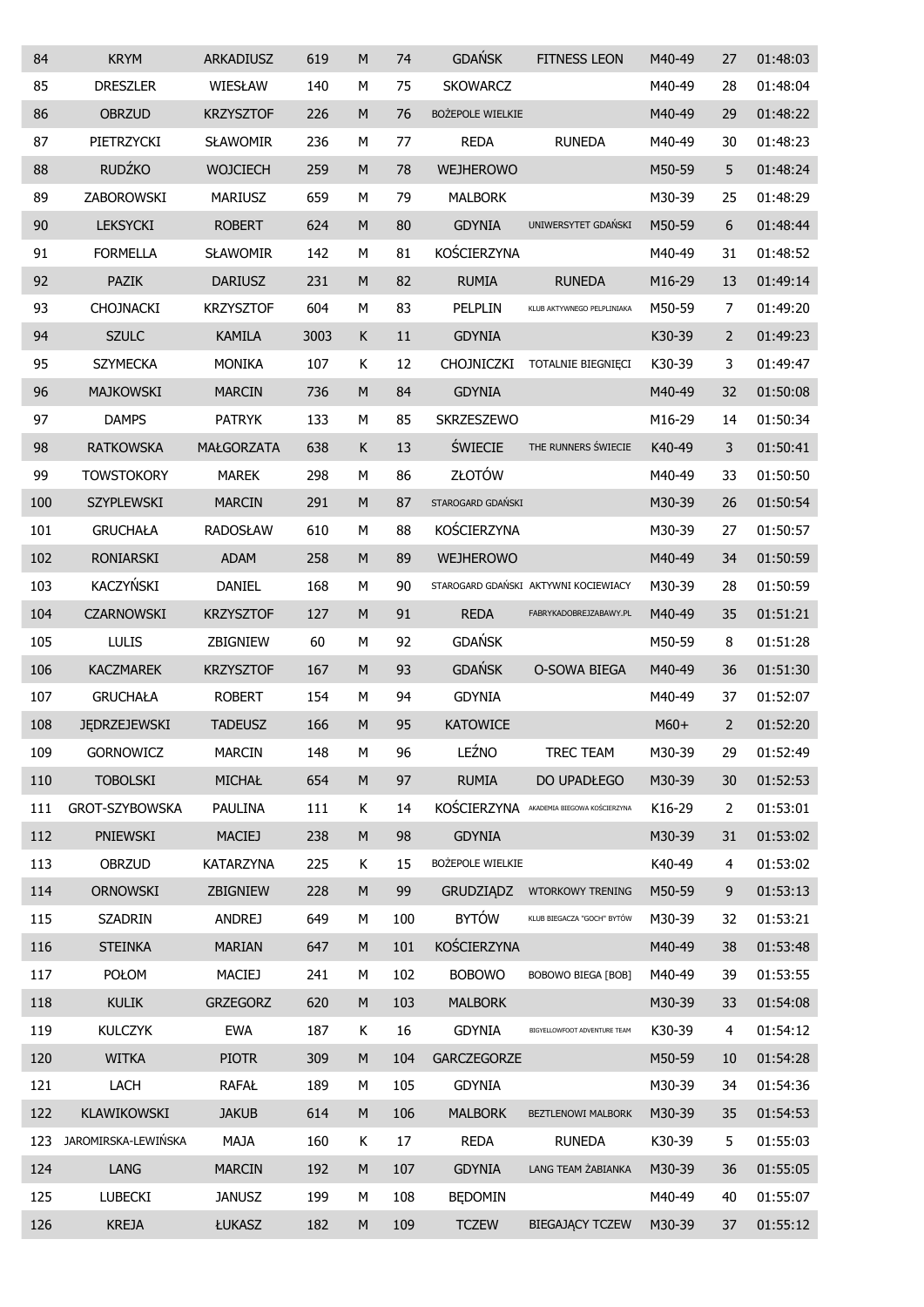| 84  | <b>KRYM</b>         | ARKADIUSZ        | 619  | M         | 74  | <b>GDAŃSK</b>           | <b>FITNESS LEON</b>                  | M40-49 | 27             | 01:48:03 |
|-----|---------------------|------------------|------|-----------|-----|-------------------------|--------------------------------------|--------|----------------|----------|
| 85  | <b>DRESZLER</b>     | WIESŁAW          | 140  | М         | 75  | <b>SKOWARCZ</b>         |                                      | M40-49 | 28             | 01:48:04 |
| 86  | <b>OBRZUD</b>       | <b>KRZYSZTOF</b> | 226  | M         | 76  | <b>BOŻEPOLE WIELKIE</b> |                                      | M40-49 | 29             | 01:48:22 |
| 87  | PIETRZYCKI          | <b>SŁAWOMIR</b>  | 236  | М         | 77  | <b>REDA</b>             | <b>RUNEDA</b>                        | M40-49 | 30             | 01:48:23 |
| 88  | <b>RUDŹKO</b>       | <b>WOJCIECH</b>  | 259  | M         | 78  | <b>WEJHEROWO</b>        |                                      | M50-59 | 5              | 01:48:24 |
| 89  | ZABOROWSKI          | <b>MARIUSZ</b>   | 659  | М         | 79  | <b>MALBORK</b>          |                                      | M30-39 | 25             | 01:48:29 |
| 90  | <b>LEKSYCKI</b>     | <b>ROBERT</b>    | 624  | M         | 80  | <b>GDYNIA</b>           | UNIWERSYTET GDAŃSKI                  | M50-59 | 6              | 01:48:44 |
| 91  | <b>FORMELLA</b>     | <b>SŁAWOMIR</b>  | 142  | M         | 81  | KOŚCIERZYNA             |                                      | M40-49 | 31             | 01:48:52 |
| 92  | <b>PAZIK</b>        | <b>DARIUSZ</b>   | 231  | M         | 82  | <b>RUMIA</b>            | <b>RUNEDA</b>                        | M16-29 | 13             | 01:49:14 |
| 93  | <b>CHOJNACKI</b>    | <b>KRZYSZTOF</b> | 604  | М         | 83  | PELPLIN                 | KLUB AKTYWNEGO PELPLINIAKA           | M50-59 | $\overline{7}$ | 01:49:20 |
| 94  | <b>SZULC</b>        | <b>KAMILA</b>    | 3003 | K         | 11  | <b>GDYNIA</b>           |                                      | K30-39 | 2              | 01:49:23 |
| 95  | <b>SZYMECKA</b>     | <b>MONIKA</b>    | 107  | Κ         | 12  | CHOJNICZKI              | TOTALNIE BIEGNIĘCI                   | K30-39 | 3              | 01:49:47 |
| 96  | <b>MAJKOWSKI</b>    | <b>MARCIN</b>    | 736  | M         | 84  | <b>GDYNIA</b>           |                                      | M40-49 | 32             | 01:50:08 |
| 97  | <b>DAMPS</b>        | <b>PATRYK</b>    | 133  | М         | 85  | SKRZESZEWO              |                                      | M16-29 | 14             | 01:50:34 |
| 98  | <b>RATKOWSKA</b>    | MAŁGORZATA       | 638  | Κ         | 13  | <b>ŚWIECIE</b>          | THE RUNNERS ŚWIECIE                  | K40-49 | 3              | 01:50:41 |
| 99  | <b>TOWSTOKORY</b>   | <b>MAREK</b>     | 298  | М         | 86  | ZŁOTÓW                  |                                      | M40-49 | 33             | 01:50:50 |
| 100 | <b>SZYPLEWSKI</b>   | <b>MARCIN</b>    | 291  | M         | 87  | STAROGARD GDAŃSKI       |                                      | M30-39 | 26             | 01:50:54 |
| 101 | <b>GRUCHAŁA</b>     | <b>RADOSŁAW</b>  | 610  | М         | 88  | KOŚCIERZYNA             |                                      | M30-39 | 27             | 01:50:57 |
| 102 | <b>RONIARSKI</b>    | <b>ADAM</b>      | 258  | M         | 89  | <b>WEJHEROWO</b>        |                                      | M40-49 | 34             | 01:50:59 |
| 103 | KACZYŃSKI           | DANIEL           | 168  | М         | 90  |                         | STAROGARD GDAŃSKI AKTYWNI KOCIEWIACY | M30-39 | 28             | 01:50:59 |
| 104 | <b>CZARNOWSKI</b>   | <b>KRZYSZTOF</b> | 127  | M         | 91  | <b>REDA</b>             | FABRYKADOBREJZABAWY.PL               | M40-49 | 35             | 01:51:21 |
| 105 | <b>LULIS</b>        | ZBIGNIEW         | 60   | М         | 92  | <b>GDAŃSK</b>           |                                      | M50-59 | 8              | 01:51:28 |
| 106 | <b>KACZMAREK</b>    | <b>KRZYSZTOF</b> | 167  | M         | 93  | <b>GDAŃSK</b>           | O-SOWA BIEGA                         | M40-49 | 36             | 01:51:30 |
| 107 | <b>GRUCHAŁA</b>     | <b>ROBERT</b>    | 154  | М         | 94  | <b>GDYNIA</b>           |                                      | M40-49 | 37             | 01:52:07 |
| 108 | <b>JEDRZEJEWSKI</b> | <b>TADEUSZ</b>   | 166  | M         | 95  | <b>KATOWICE</b>         |                                      | $M60+$ | 2              | 01:52:20 |
| 109 | GORNOWICZ           | <b>MARCIN</b>    | 148  | М         | 96  | LEŹNO                   | <b>TREC TEAM</b>                     | M30-39 | 29             | 01:52:49 |
| 110 | <b>TOBOLSKI</b>     | MICHAŁ           | 654  | $\sf M$   | 97  | <b>RUMIA</b>            | DO UPADŁEGO                          | M30-39 | 30             | 01:52:53 |
| 111 | GROT-SZYBOWSKA      | <b>PAULINA</b>   | 111  | Κ         | 14  | KOŚCIERZYNA             | AKADEMIA BIEGOWA KOŚCIERZYNA         | K16-29 | $\overline{2}$ | 01:53:01 |
| 112 | PNIEWSKI            | <b>MACIEJ</b>    | 238  | ${\sf M}$ | 98  | <b>GDYNIA</b>           |                                      | M30-39 | 31             | 01:53:02 |
| 113 | <b>OBRZUD</b>       | KATARZYNA        | 225  | Κ         | 15  | BOŻEPOLE WIELKIE        |                                      | K40-49 | 4              | 01:53:02 |
| 114 | <b>ORNOWSKI</b>     | ZBIGNIEW         | 228  | ${\sf M}$ | 99  | <b>GRUDZIADZ</b>        | <b>WTORKOWY TRENING</b>              | M50-59 | 9              | 01:53:13 |
| 115 | <b>SZADRIN</b>      | <b>ANDREJ</b>    | 649  | М         | 100 | <b>BYTÓW</b>            | KLUB BIEGACZA "GOCH" BYTÓW           | M30-39 | 32             | 01:53:21 |
| 116 | <b>STEINKA</b>      | <b>MARIAN</b>    | 647  | ${\sf M}$ | 101 | KOŚCIERZYNA             |                                      | M40-49 | 38             | 01:53:48 |
| 117 | POŁOM               | <b>MACIEJ</b>    | 241  | М         | 102 | <b>BOBOWO</b>           | <b>BOBOWO BIEGA [BOB]</b>            | M40-49 | 39             | 01:53:55 |
| 118 | <b>KULIK</b>        | <b>GRZEGORZ</b>  | 620  | ${\sf M}$ | 103 | <b>MALBORK</b>          |                                      | M30-39 | 33             | 01:54:08 |
| 119 | <b>KULCZYK</b>      | <b>EWA</b>       | 187  | Κ         | 16  | <b>GDYNIA</b>           | BIGYELLOWFOOT ADVENTURE TEAM         | K30-39 | 4              | 01:54:12 |
| 120 | <b>WITKA</b>        | <b>PIOTR</b>     | 309  | ${\sf M}$ | 104 | GARCZEGORZE             |                                      | M50-59 | 10             | 01:54:28 |
| 121 | LACH                | <b>RAFAŁ</b>     | 189  | М         | 105 | <b>GDYNIA</b>           |                                      | M30-39 | 34             | 01:54:36 |
| 122 | KLAWIKOWSKI         | <b>JAKUB</b>     | 614  | ${\sf M}$ | 106 | <b>MALBORK</b>          | BEZTLENOWI MALBORK                   | M30-39 | 35             | 01:54:53 |
| 123 | JAROMIRSKA-LEWIŃSKA | <b>MAJA</b>      | 160  | К         | 17  | <b>REDA</b>             | <b>RUNEDA</b>                        | K30-39 | 5              | 01:55:03 |
| 124 | LANG                | <b>MARCIN</b>    | 192  | ${\sf M}$ | 107 | <b>GDYNIA</b>           | LANG TEAM ŻABIANKA                   | M30-39 | 36             | 01:55:05 |
| 125 | <b>LUBECKI</b>      | <b>JANUSZ</b>    | 199  | М         | 108 | <b>BEDOMIN</b>          |                                      | M40-49 | 40             | 01:55:07 |
| 126 | <b>KREJA</b>        | ŁUKASZ           | 182  | ${\sf M}$ | 109 | <b>TCZEW</b>            | <b>BIEGAJĄCY TCZEW</b>               | M30-39 | 37             | 01:55:12 |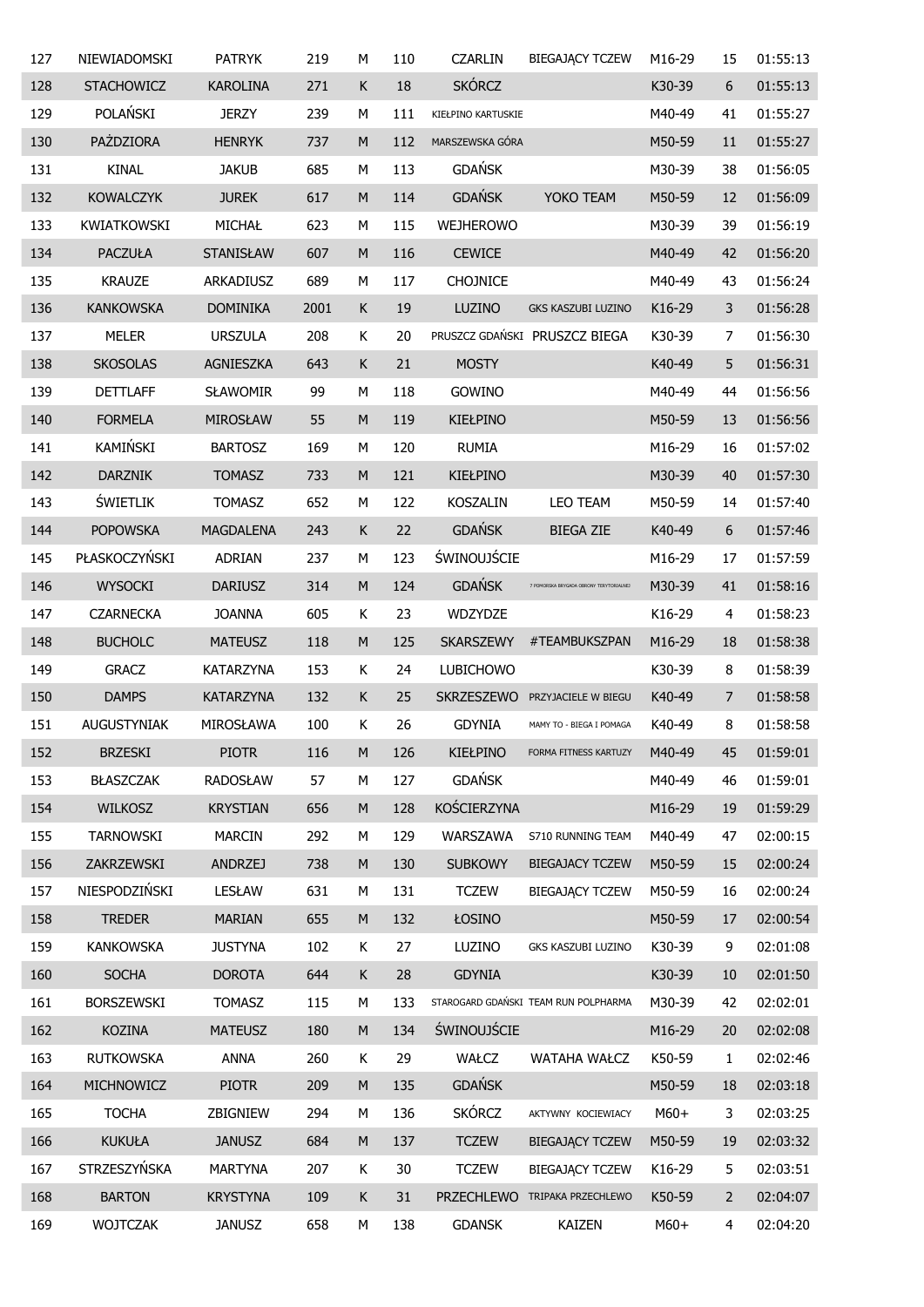| 127 | NIEWIADOMSKI       | <b>PATRYK</b>    | 219  | М           | 110 | <b>CZARLIN</b>     | <b>BIEGAJĄCY TCZEW</b>                  | M16-29 | 15             | 01:55:13 |
|-----|--------------------|------------------|------|-------------|-----|--------------------|-----------------------------------------|--------|----------------|----------|
| 128 | <b>STACHOWICZ</b>  | <b>KAROLINA</b>  | 271  | К           | 18  | <b>SKÓRCZ</b>      |                                         | K30-39 | 6              | 01:55:13 |
| 129 | POLAŃSKI           | <b>JERZY</b>     | 239  | М           | 111 | KIEŁPINO KARTUSKIE |                                         | M40-49 | 41             | 01:55:27 |
| 130 | PAŻDZIORA          | <b>HENRYK</b>    | 737  | M           | 112 | MARSZEWSKA GÓRA    |                                         | M50-59 | 11             | 01:55:27 |
| 131 | <b>KINAL</b>       | <b>JAKUB</b>     | 685  | М           | 113 | <b>GDAŃSK</b>      |                                         | M30-39 | 38             | 01:56:05 |
| 132 | <b>KOWALCZYK</b>   | <b>JUREK</b>     | 617  | M           | 114 | <b>GDAŃSK</b>      | YOKO TEAM                               | M50-59 | 12             | 01:56:09 |
| 133 | <b>KWIATKOWSKI</b> | MICHAŁ           | 623  | М           | 115 | <b>WEJHEROWO</b>   |                                         | M30-39 | 39             | 01:56:19 |
| 134 | <b>PACZUŁA</b>     | <b>STANISŁAW</b> | 607  | ${\sf M}$   | 116 | <b>CEWICE</b>      |                                         | M40-49 | 42             | 01:56:20 |
| 135 | <b>KRAUZE</b>      | ARKADIUSZ        | 689  | М           | 117 | <b>CHOJNICE</b>    |                                         | M40-49 | 43             | 01:56:24 |
| 136 | <b>KANKOWSKA</b>   | <b>DOMINIKA</b>  | 2001 | K           | 19  | LUZINO             | GKS KASZUBI LUZINO                      | K16-29 | 3              | 01:56:28 |
| 137 | <b>MELER</b>       | <b>URSZULA</b>   | 208  | К           | 20  |                    | PRUSZCZ GDAŃSKI PRUSZCZ BIEGA           | K30-39 | 7              | 01:56:30 |
| 138 | <b>SKOSOLAS</b>    | AGNIESZKA        | 643  | К           | 21  | <b>MOSTY</b>       |                                         | K40-49 | 5              | 01:56:31 |
| 139 | <b>DETTLAFF</b>    | <b>SŁAWOMIR</b>  | 99   | М           | 118 | GOWINO             |                                         | M40-49 | 44             | 01:56:56 |
| 140 | <b>FORMELA</b>     | <b>MIROSŁAW</b>  | 55   | ${\sf M}$   | 119 | <b>KIEŁPINO</b>    |                                         | M50-59 | 13             | 01:56:56 |
| 141 | KAMIŃSKI           | <b>BARTOSZ</b>   | 169  | М           | 120 | <b>RUMIA</b>       |                                         | M16-29 | 16             | 01:57:02 |
| 142 | <b>DARZNIK</b>     | <b>TOMASZ</b>    | 733  | ${\sf M}$   | 121 | <b>KIEŁPINO</b>    |                                         | M30-39 | 40             | 01:57:30 |
| 143 | <b>ŚWIETLIK</b>    | <b>TOMASZ</b>    | 652  | М           | 122 | <b>KOSZALIN</b>    | LEO TEAM                                | M50-59 | 14             | 01:57:40 |
| 144 | <b>POPOWSKA</b>    | <b>MAGDALENA</b> | 243  | К           | 22  | <b>GDAŃSK</b>      | <b>BIEGA ZIE</b>                        | K40-49 | 6              | 01:57:46 |
| 145 | PŁASKOCZYŃSKI      | <b>ADRIAN</b>    | 237  | М           | 123 | <b>ŚWINOUJŚCIE</b> |                                         | M16-29 | 17             | 01:57:59 |
| 146 | <b>WYSOCKI</b>     | <b>DARIUSZ</b>   | 314  | ${\sf M}$   | 124 | <b>GDAŃSK</b>      | 7 POMORSKA BRYGADA OBRONY TERYTORIALNEJ | M30-39 | 41             | 01:58:16 |
| 147 | <b>CZARNECKA</b>   | <b>JOANNA</b>    | 605  | К           | 23  | <b>WDZYDZE</b>     |                                         | K16-29 | 4              | 01:58:23 |
| 148 | <b>BUCHOLC</b>     | <b>MATEUSZ</b>   | 118  | M           | 125 | <b>SKARSZEWY</b>   | #TEAMBUKSZPAN                           | M16-29 | 18             | 01:58:38 |
| 149 | <b>GRACZ</b>       | <b>KATARZYNA</b> | 153  | K           | 24  | <b>LUBICHOWO</b>   |                                         | K30-39 | 8              | 01:58:39 |
| 150 | <b>DAMPS</b>       | <b>KATARZYNA</b> | 132  | $\mathsf K$ | 25  | <b>SKRZESZEWO</b>  | PRZYJACIELE W BIEGU                     | K40-49 | $\overline{7}$ | 01:58:58 |
| 151 | <b>AUGUSTYNIAK</b> | MIROSŁAWA        | 100  | K           | 26  | <b>GDYNIA</b>      | MAMY TO - BIEGA I POMAGA                | K40-49 | 8              | 01:58:58 |
| 152 | <b>BRZESKI</b>     | <b>PIOTR</b>     | 116  | ${\sf M}$   | 126 | KIEŁPINO           | FORMA FITNESS KARTUZY                   | M40-49 | 45             | 01:59:01 |
| 153 | BŁASZCZAK          | <b>RADOSŁAW</b>  | 57   | М           | 127 | <b>GDAŃSK</b>      |                                         | M40-49 | 46             | 01:59:01 |
| 154 | <b>WILKOSZ</b>     | <b>KRYSTIAN</b>  | 656  | ${\sf M}$   | 128 | KOŚCIERZYNA        |                                         | M16-29 | 19             | 01:59:29 |
| 155 | <b>TARNOWSKI</b>   | <b>MARCIN</b>    | 292  | М           | 129 | WARSZAWA           | S710 RUNNING TEAM                       | M40-49 | 47             | 02:00:15 |
| 156 | ZAKRZEWSKI         | <b>ANDRZEJ</b>   | 738  | ${\sf M}$   | 130 | <b>SUBKOWY</b>     | <b>BIEGAJACY TCZEW</b>                  | M50-59 | 15             | 02:00:24 |
| 157 | NIESPODZIŃSKI      | <b>LESŁAW</b>    | 631  | М           | 131 | <b>TCZEW</b>       | <b>BIEGAJĄCY TCZEW</b>                  | M50-59 | 16             | 02:00:24 |
| 158 | <b>TREDER</b>      | <b>MARIAN</b>    | 655  | M           | 132 | ŁOSINO             |                                         | M50-59 | 17             | 02:00:54 |
| 159 | <b>KANKOWSKA</b>   | <b>JUSTYNA</b>   | 102  | Κ           | 27  | LUZINO             | GKS KASZUBI LUZINO                      | K30-39 | 9              | 02:01:08 |
| 160 | <b>SOCHA</b>       | <b>DOROTA</b>    | 644  | K           | 28  | <b>GDYNIA</b>      |                                         | K30-39 | 10             | 02:01:50 |
| 161 | BORSZEWSKI         | <b>TOMASZ</b>    | 115  | М           | 133 |                    | STAROGARD GDAŃSKI TEAM RUN POLPHARMA    | M30-39 | 42             | 02:02:01 |
| 162 | <b>KOZINA</b>      | <b>MATEUSZ</b>   | 180  | M           | 134 | <b>ŚWINOUJŚCIE</b> |                                         | M16-29 | 20             | 02:02:08 |
| 163 | <b>RUTKOWSKA</b>   | <b>ANNA</b>      | 260  | Κ           | 29  | WAŁCZ              | WATAHA WAŁCZ                            | K50-59 | 1              | 02:02:46 |
| 164 | MICHNOWICZ         | <b>PIOTR</b>     | 209  | M           | 135 | <b>GDAŃSK</b>      |                                         | M50-59 | 18             | 02:03:18 |
| 165 | <b>TOCHA</b>       | ZBIGNIEW         | 294  | М           | 136 | <b>SKÓRCZ</b>      | AKTYWNY KOCIEWIACY                      | $M60+$ | 3              | 02:03:25 |
| 166 | <b>KUKUŁA</b>      | <b>JANUSZ</b>    | 684  | M           | 137 | <b>TCZEW</b>       | <b>BIEGAJĄCY TCZEW</b>                  | M50-59 | 19             | 02:03:32 |
| 167 | STRZESZYŃSKA       | <b>MARTYNA</b>   | 207  | Κ           | 30  | <b>TCZEW</b>       | <b>BIEGAJĄCY TCZEW</b>                  | K16-29 | 5              | 02:03:51 |
| 168 | <b>BARTON</b>      | <b>KRYSTYNA</b>  | 109  | K           | 31  | <b>PRZECHLEWO</b>  | TRIPAKA PRZECHLEWO                      | K50-59 | 2              | 02:04:07 |
| 169 | <b>WOJTCZAK</b>    | <b>JANUSZ</b>    | 658  | М           | 138 | <b>GDANSK</b>      | KAIZEN                                  | $M60+$ | 4              | 02:04:20 |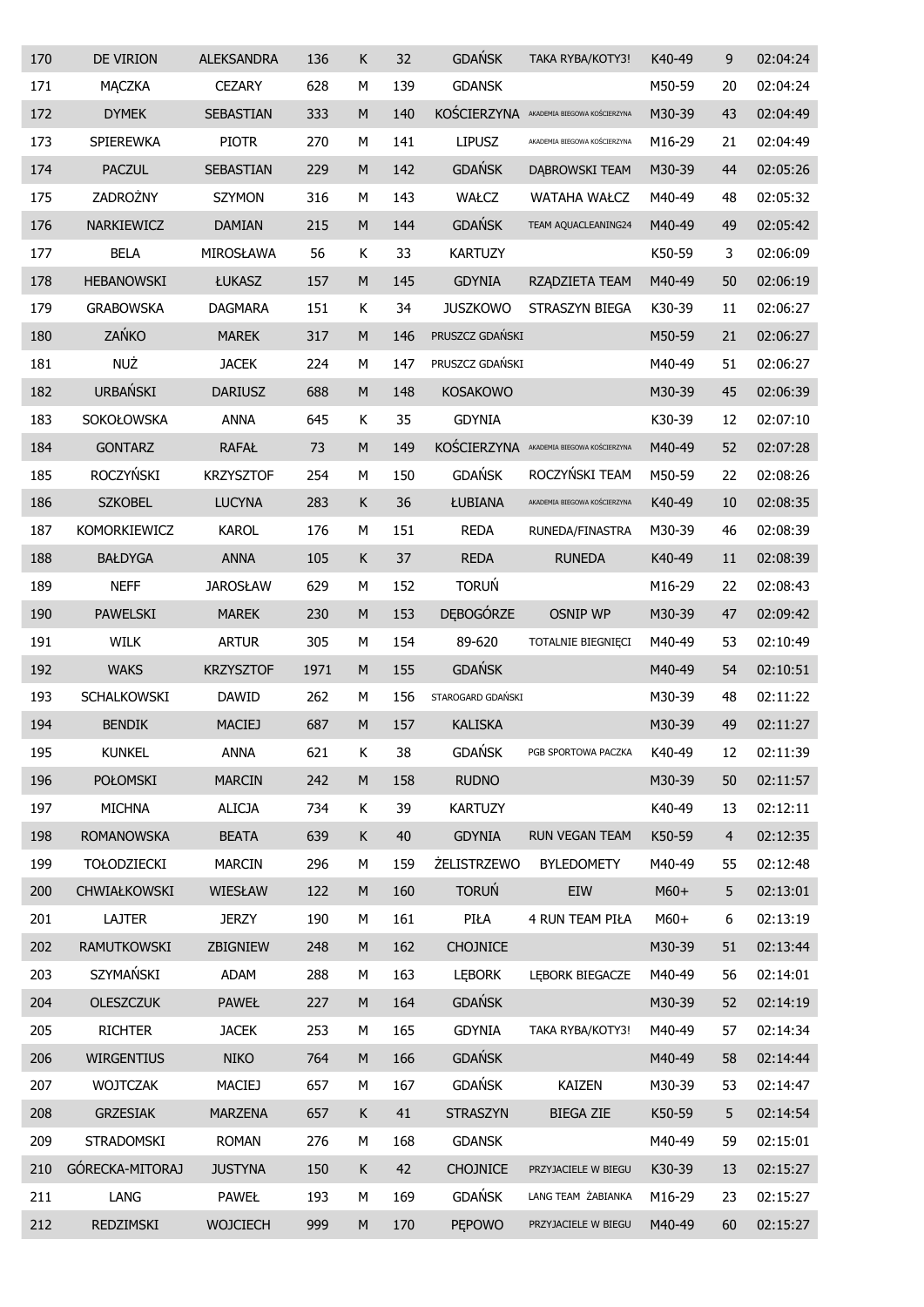| 170 | DE VIRION          | <b>ALEKSANDRA</b> | 136  | Κ         | 32  | <b>GDAŃSK</b>      | TAKA RYBA/KOTY3!             | K40-49 | 9              | 02:04:24 |
|-----|--------------------|-------------------|------|-----------|-----|--------------------|------------------------------|--------|----------------|----------|
| 171 | <b>MACZKA</b>      | <b>CEZARY</b>     | 628  | М         | 139 | <b>GDANSK</b>      |                              | M50-59 | 20             | 02:04:24 |
| 172 | <b>DYMEK</b>       | SEBASTIAN         | 333  | M         | 140 | KOŚCIERZYNA        | AKADEMIA BIEGOWA KOŚCIERZYNA | M30-39 | 43             | 02:04:49 |
| 173 | SPIEREWKA          | <b>PIOTR</b>      | 270  | М         | 141 | <b>LIPUSZ</b>      | AKADEMIA BIEGOWA KOŚCIERZYNA | M16-29 | 21             | 02:04:49 |
| 174 | <b>PACZUL</b>      | <b>SEBASTIAN</b>  | 229  | M         | 142 | <b>GDAŃSK</b>      | DĄBROWSKI TEAM               | M30-39 | 44             | 02:05:26 |
| 175 | ZADROŻNY           | <b>SZYMON</b>     | 316  | М         | 143 | WAŁCZ              | <b>WATAHA WAŁCZ</b>          | M40-49 | 48             | 02:05:32 |
| 176 | NARKIEWICZ         | <b>DAMIAN</b>     | 215  | M         | 144 | <b>GDAŃSK</b>      | TEAM AQUACLEANING24          | M40-49 | 49             | 02:05:42 |
| 177 | <b>BELA</b>        | MIROSŁAWA         | 56   | Κ         | 33  | <b>KARTUZY</b>     |                              | K50-59 | 3              | 02:06:09 |
| 178 | <b>HEBANOWSKI</b>  | <b>ŁUKASZ</b>     | 157  | M         | 145 | <b>GDYNIA</b>      | RZĄDZIETA TEAM               | M40-49 | 50             | 02:06:19 |
| 179 | <b>GRABOWSKA</b>   | <b>DAGMARA</b>    | 151  | Κ         | 34  | <b>JUSZKOWO</b>    | STRASZYN BIEGA               | K30-39 | 11             | 02:06:27 |
| 180 | ZAŃKO              | <b>MAREK</b>      | 317  | M         | 146 | PRUSZCZ GDAŃSKI    |                              | M50-59 | 21             | 02:06:27 |
| 181 | <b>NUŻ</b>         | <b>JACEK</b>      | 224  | М         | 147 | PRUSZCZ GDAŃSKI    |                              | M40-49 | 51             | 02:06:27 |
| 182 | <b>URBAŃSKI</b>    | <b>DARIUSZ</b>    | 688  | M         | 148 | <b>KOSAKOWO</b>    |                              | M30-39 | 45             | 02:06:39 |
| 183 | <b>SOKOŁOWSKA</b>  | <b>ANNA</b>       | 645  | Κ         | 35  | <b>GDYNIA</b>      |                              | K30-39 | 12             | 02:07:10 |
| 184 | <b>GONTARZ</b>     | <b>RAFAŁ</b>      | 73   | M         | 149 | KOŚCIERZYNA        | AKADEMIA BIEGOWA KOŚCIERZYNA | M40-49 | 52             | 02:07:28 |
| 185 | <b>ROCZYŃSKI</b>   | <b>KRZYSZTOF</b>  | 254  | М         | 150 | <b>GDAŃSK</b>      | ROCZYŃSKI TEAM               | M50-59 | 22             | 02:08:26 |
| 186 | <b>SZKOBEL</b>     | <b>LUCYNA</b>     | 283  | Κ         | 36  | ŁUBIANA            | AKADEMIA BIEGOWA KOŚCIERZYNA | K40-49 | 10             | 02:08:35 |
| 187 | KOMORKIEWICZ       | <b>KAROL</b>      | 176  | М         | 151 | <b>REDA</b>        | RUNEDA/FINASTRA              | M30-39 | 46             | 02:08:39 |
| 188 | <b>BAŁDYGA</b>     | <b>ANNA</b>       | 105  | K         | 37  | <b>REDA</b>        | <b>RUNEDA</b>                | K40-49 | 11             | 02:08:39 |
| 189 | <b>NEFF</b>        | <b>JAROSŁAW</b>   | 629  | М         | 152 | <b>TORUŃ</b>       |                              | M16-29 | 22             | 02:08:43 |
| 190 | <b>PAWELSKI</b>    | <b>MAREK</b>      | 230  | M         | 153 | <b>DEBOGÓRZE</b>   | <b>OSNIP WP</b>              | M30-39 | 47             | 02:09:42 |
| 191 | WILK               | <b>ARTUR</b>      | 305  | М         | 154 | 89-620             | TOTALNIE BIEGNIĘCI           | M40-49 | 53             | 02:10:49 |
| 192 | <b>WAKS</b>        | <b>KRZYSZTOF</b>  | 1971 | M         | 155 | <b>GDAŃSK</b>      |                              | M40-49 | 54             | 02:10:51 |
| 193 | SCHALKOWSKI        | <b>DAWID</b>      | 262  | М         | 156 | STAROGARD GDAŃSKI  |                              | M30-39 | 48             | 02:11:22 |
| 194 | <b>BENDIK</b>      | <b>MACIEJ</b>     | 687  | M         | 157 | <b>KALISKA</b>     |                              | M30-39 | 49             | 02:11:27 |
| 195 | <b>KUNKEL</b>      | ANNA              | 621  | Κ         | 38  | <b>GDAŃSK</b>      | PGB SPORTOWA PACZKA          | K40-49 | 12             | 02:11:39 |
| 196 | POŁOMSKI           | <b>MARCIN</b>     | 242  | ${\sf M}$ | 158 | <b>RUDNO</b>       |                              | M30-39 | 50             | 02:11:57 |
| 197 | <b>MICHNA</b>      | <b>ALICJA</b>     | 734  | Κ         | 39  | <b>KARTUZY</b>     |                              | K40-49 | 13             | 02:12:11 |
| 198 | <b>ROMANOWSKA</b>  | <b>BEATA</b>      | 639  | K         | 40  | <b>GDYNIA</b>      | RUN VEGAN TEAM               | K50-59 | $\overline{4}$ | 02:12:35 |
| 199 | <b>TOŁODZIECKI</b> | <b>MARCIN</b>     | 296  | М         | 159 | <b>ŻELISTRZEWO</b> | <b>BYLEDOMETY</b>            | M40-49 | 55             | 02:12:48 |
| 200 | CHWIAŁKOWSKI       | WIESŁAW           | 122  | ${\sf M}$ | 160 | <b>TORUŃ</b>       | EIW                          | $M60+$ | 5              | 02:13:01 |
| 201 | LAJTER             | <b>JERZY</b>      | 190  | M         | 161 | PIŁA               | 4 RUN TEAM PIŁA              | $M60+$ | 6              | 02:13:19 |
| 202 | RAMUTKOWSKI        | ZBIGNIEW          | 248  | M         | 162 | <b>CHOJNICE</b>    |                              | M30-39 | 51             | 02:13:44 |
| 203 | SZYMAŃSKI          | ADAM              | 288  | M         | 163 | <b>LEBORK</b>      | LEBORK BIEGACZE              | M40-49 | 56             | 02:14:01 |
| 204 | <b>OLESZCZUK</b>   | <b>PAWEŁ</b>      | 227  | ${\sf M}$ | 164 | <b>GDAŃSK</b>      |                              | M30-39 | 52             | 02:14:19 |
| 205 | <b>RICHTER</b>     | <b>JACEK</b>      | 253  | M         | 165 | <b>GDYNIA</b>      | TAKA RYBA/KOTY3!             | M40-49 | 57             | 02:14:34 |
| 206 | <b>WIRGENTIUS</b>  | <b>NIKO</b>       | 764  | ${\sf M}$ | 166 | <b>GDAŃSK</b>      |                              | M40-49 | 58             | 02:14:44 |
| 207 | <b>WOJTCZAK</b>    | MACIEJ            | 657  | M         | 167 | <b>GDAŃSK</b>      | <b>KAIZEN</b>                | M30-39 | 53             | 02:14:47 |
| 208 | <b>GRZESIAK</b>    | <b>MARZENA</b>    | 657  | K         | 41  | <b>STRASZYN</b>    | <b>BIEGA ZIE</b>             | K50-59 | 5              | 02:14:54 |
| 209 | STRADOMSKI         | <b>ROMAN</b>      | 276  | М         | 168 | <b>GDANSK</b>      |                              | M40-49 | 59             | 02:15:01 |
| 210 | GÓRECKA-MITORAJ    | <b>JUSTYNA</b>    | 150  | K         | 42  | <b>CHOJNICE</b>    | PRZYJACIELE W BIEGU          | K30-39 | 13             | 02:15:27 |
| 211 | LANG               | <b>PAWEŁ</b>      | 193  | М         | 169 | <b>GDAŃSK</b>      | LANG TEAM ŻABIANKA           | M16-29 | 23             | 02:15:27 |
| 212 | REDZIMSKI          | <b>WOJCIECH</b>   | 999  | ${\sf M}$ | 170 | <b>PEPOWO</b>      | PRZYJACIELE W BIEGU          | M40-49 | 60             | 02:15:27 |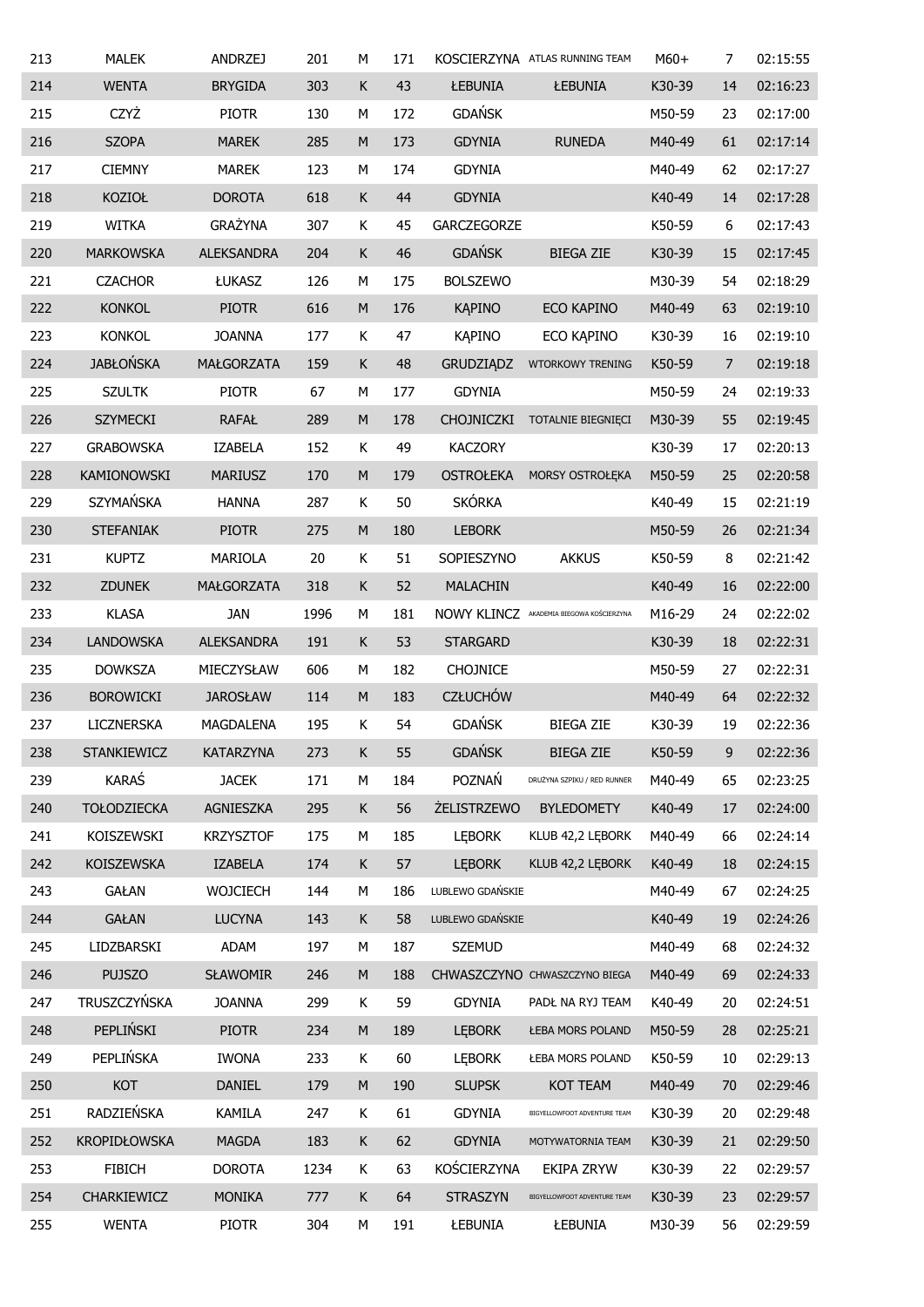| 213 | <b>MALEK</b>        | <b>ANDRZEJ</b>    | 201  | М           | 171 |                    | KOSCIERZYNA ATLAS RUNNING TEAM           | $M60+$ | 7              | 02:15:55 |
|-----|---------------------|-------------------|------|-------------|-----|--------------------|------------------------------------------|--------|----------------|----------|
| 214 | <b>WENTA</b>        | <b>BRYGIDA</b>    | 303  | К           | 43  | ŁEBUNIA            | ŁEBUNIA                                  | K30-39 | 14             | 02:16:23 |
| 215 | CZYŻ                | <b>PIOTR</b>      | 130  | М           | 172 | <b>GDAŃSK</b>      |                                          | M50-59 | 23             | 02:17:00 |
| 216 | <b>SZOPA</b>        | <b>MAREK</b>      | 285  | M           | 173 | <b>GDYNIA</b>      | <b>RUNEDA</b>                            | M40-49 | 61             | 02:17:14 |
| 217 | <b>CIEMNY</b>       | <b>MAREK</b>      | 123  | М           | 174 | <b>GDYNIA</b>      |                                          | M40-49 | 62             | 02:17:27 |
| 218 | <b>KOZIOŁ</b>       | <b>DOROTA</b>     | 618  | $\mathsf K$ | 44  | <b>GDYNIA</b>      |                                          | K40-49 | 14             | 02:17:28 |
| 219 | <b>WITKA</b>        | <b>GRAŻYNA</b>    | 307  | К           | 45  | GARCZEGORZE        |                                          | K50-59 | 6              | 02:17:43 |
| 220 | <b>MARKOWSKA</b>    | <b>ALEKSANDRA</b> | 204  | К           | 46  | <b>GDAŃSK</b>      | <b>BIEGA ZIE</b>                         | K30-39 | 15             | 02:17:45 |
| 221 | <b>CZACHOR</b>      | ŁUKASZ            | 126  | М           | 175 | <b>BOLSZEWO</b>    |                                          | M30-39 | 54             | 02:18:29 |
| 222 | <b>KONKOL</b>       | <b>PIOTR</b>      | 616  | ${\sf M}$   | 176 | <b>KAPINO</b>      | ECO KAPINO                               | M40-49 | 63             | 02:19:10 |
| 223 | <b>KONKOL</b>       | <b>JOANNA</b>     | 177  | Κ           | 47  | <b>KAPINO</b>      | ECO KĄPINO                               | K30-39 | 16             | 02:19:10 |
| 224 | <b>JABŁOŃSKA</b>    | MAŁGORZATA        | 159  | $\mathsf K$ | 48  | <b>GRUDZIĄDZ</b>   | WTORKOWY TRENING                         | K50-59 | $\overline{7}$ | 02:19:18 |
| 225 | <b>SZULTK</b>       | <b>PIOTR</b>      | 67   | М           | 177 | <b>GDYNIA</b>      |                                          | M50-59 | 24             | 02:19:33 |
| 226 | <b>SZYMECKI</b>     | <b>RAFAŁ</b>      | 289  | M           | 178 | <b>CHOJNICZKI</b>  | TOTALNIE BIEGNIECI                       | M30-39 | 55             | 02:19:45 |
| 227 | <b>GRABOWSKA</b>    | <b>IZABELA</b>    | 152  | К           | 49  | <b>KACZORY</b>     |                                          | K30-39 | 17             | 02:20:13 |
| 228 | <b>KAMIONOWSKI</b>  | <b>MARIUSZ</b>    | 170  | M           | 179 | <b>OSTROŁEKA</b>   | MORSY OSTROŁĘKA                          | M50-59 | 25             | 02:20:58 |
| 229 | <b>SZYMAŃSKA</b>    | <b>HANNA</b>      | 287  | К           | 50  | <b>SKÓRKA</b>      |                                          | K40-49 | 15             | 02:21:19 |
| 230 | <b>STEFANIAK</b>    | <b>PIOTR</b>      | 275  | M           | 180 | <b>LEBORK</b>      |                                          | M50-59 | 26             | 02:21:34 |
| 231 | <b>KUPTZ</b>        | MARIOLA           | 20   | К           | 51  | SOPIESZYNO         | <b>AKKUS</b>                             | K50-59 | 8              | 02:21:42 |
| 232 | <b>ZDUNEK</b>       | MAŁGORZATA        | 318  | $\mathsf K$ | 52  | <b>MALACHIN</b>    |                                          | K40-49 | 16             | 02:22:00 |
| 233 | <b>KLASA</b>        | <b>JAN</b>        | 1996 | М           | 181 |                    | NOWY KLINCZ AKADEMIA BIEGOWA KOŚCIERZYNA | M16-29 | 24             | 02:22:02 |
| 234 | <b>LANDOWSKA</b>    | <b>ALEKSANDRA</b> | 191  | $\mathsf K$ | 53  | <b>STARGARD</b>    |                                          | K30-39 | 18             | 02:22:31 |
| 235 | <b>DOWKSZA</b>      | MIECZYSŁAW        | 606  | М           | 182 | <b>CHOJNICE</b>    |                                          | M50-59 | 27             | 02:22:31 |
| 236 | <b>BOROWICKI</b>    | <b>JAROSŁAW</b>   | 114  | M           | 183 | <b>CZŁUCHÓW</b>    |                                          | M40-49 | 64             | 02:22:32 |
| 237 | <b>LICZNERSKA</b>   | MAGDALENA         | 195  | K           | 54  | <b>GDAŃSK</b>      | <b>BIEGA ZIE</b>                         | K30-39 | 19             | 02:22:36 |
| 238 | STANKIEWICZ         | <b>KATARZYNA</b>  | 273  | $\mathsf K$ | 55  | <b>GDAŃSK</b>      | <b>BIEGA ZIE</b>                         | K50-59 | 9              | 02:22:36 |
| 239 | KARAŚ               | <b>JACEK</b>      | 171  | М           | 184 | POZNAŃ             | DRUŻYNA SZPIKU / RED RUNNER              | M40-49 | 65             | 02:23:25 |
| 240 | <b>TOŁODZIECKA</b>  | AGNIESZKA         | 295  | $\mathsf K$ | 56  | <b>ŻELISTRZEWO</b> | <b>BYLEDOMETY</b>                        | K40-49 | 17             | 02:24:00 |
| 241 | KOISZEWSKI          | <b>KRZYSZTOF</b>  | 175  | М           | 185 | <b>LEBORK</b>      | KLUB 42,2 LEBORK                         | M40-49 | 66             | 02:24:14 |
| 242 | <b>KOISZEWSKA</b>   | IZABELA           | 174  | K           | 57  | <b>LEBORK</b>      | KLUB 42,2 LEBORK                         | K40-49 | 18             | 02:24:15 |
| 243 | <b>GAŁAN</b>        | <b>WOJCIECH</b>   | 144  | М           | 186 | LUBLEWO GDAŃSKIE   |                                          | M40-49 | 67             | 02:24:25 |
| 244 | <b>GAŁAN</b>        | <b>LUCYNA</b>     | 143  | K           | 58  | LUBLEWO GDAŃSKIE   |                                          | K40-49 | 19             | 02:24:26 |
| 245 | LIDZBARSKI          | ADAM              | 197  | М           | 187 | <b>SZEMUD</b>      |                                          | M40-49 | 68             | 02:24:32 |
| 246 | <b>PUJSZO</b>       | <b>SŁAWOMIR</b>   | 246  | M           | 188 |                    | CHWASZCZYNO CHWASZCZYNO BIEGA            | M40-49 | 69             | 02:24:33 |
| 247 | TRUSZCZYŃSKA        | <b>JOANNA</b>     | 299  | Κ           | 59  | <b>GDYNIA</b>      | PADŁ NA RYJ TEAM                         | K40-49 | 20             | 02:24:51 |
| 248 | PEPLIŃSKI           | <b>PIOTR</b>      | 234  | M           | 189 | <b>LEBORK</b>      | <b>ŁEBA MORS POLAND</b>                  | M50-59 | 28             | 02:25:21 |
| 249 | PEPLIŃSKA           | <b>IWONA</b>      | 233  | Κ           | 60  | <b>LEBORK</b>      | <b>ŁEBA MORS POLAND</b>                  | K50-59 | 10             | 02:29:13 |
| 250 | KOT                 | <b>DANIEL</b>     | 179  | M           | 190 | <b>SLUPSK</b>      | <b>KOT TEAM</b>                          | M40-49 | 70             | 02:29:46 |
| 251 | RADZIEŃSKA          | KAMILA            | 247  | Κ           | 61  | <b>GDYNIA</b>      | BIGYELLOWFOOT ADVENTURE TEAM             | K30-39 | 20             | 02:29:48 |
| 252 | <b>KROPIDŁOWSKA</b> | <b>MAGDA</b>      | 183  | K           | 62  | <b>GDYNIA</b>      | MOTYWATORNIA TEAM                        | K30-39 | 21             | 02:29:50 |
| 253 | <b>FIBICH</b>       | <b>DOROTA</b>     | 1234 | Κ           | 63  | KOŚCIERZYNA        | EKIPA ZRYW                               | K30-39 | 22             | 02:29:57 |
| 254 | CHARKIEWICZ         | <b>MONIKA</b>     | 777  | K           | 64  | <b>STRASZYN</b>    | BIGYELLOWFOOT ADVENTURE TEAM             | K30-39 | 23             | 02:29:57 |
| 255 | <b>WENTA</b>        | <b>PIOTR</b>      | 304  | М           | 191 | ŁEBUNIA            | ŁEBUNIA                                  | M30-39 | 56             | 02:29:59 |